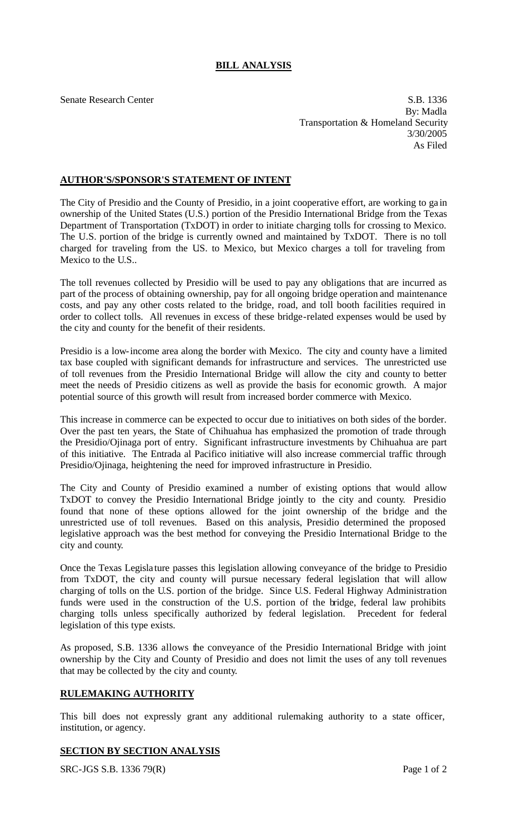# **BILL ANALYSIS**

Senate Research Center S.B. 1336 By: Madla Transportation & Homeland Security 3/30/2005 As Filed

## **AUTHOR'S/SPONSOR'S STATEMENT OF INTENT**

The City of Presidio and the County of Presidio, in a joint cooperative effort, are working to ga in ownership of the United States (U.S.) portion of the Presidio International Bridge from the Texas Department of Transportation (TxDOT) in order to initiate charging tolls for crossing to Mexico. The U.S. portion of the bridge is currently owned and maintained by TxDOT. There is no toll charged for traveling from the U.S. to Mexico, but Mexico charges a toll for traveling from Mexico to the U.S..

The toll revenues collected by Presidio will be used to pay any obligations that are incurred as part of the process of obtaining ownership, pay for all ongoing bridge operation and maintenance costs, and pay any other costs related to the bridge, road, and toll booth facilities required in order to collect tolls. All revenues in excess of these bridge-related expenses would be used by the city and county for the benefit of their residents.

Presidio is a low-income area along the border with Mexico. The city and county have a limited tax base coupled with significant demands for infrastructure and services. The unrestricted use of toll revenues from the Presidio International Bridge will allow the city and county to better meet the needs of Presidio citizens as well as provide the basis for economic growth. A major potential source of this growth will result from increased border commerce with Mexico.

This increase in commerce can be expected to occur due to initiatives on both sides of the border. Over the past ten years, the State of Chihuahua has emphasized the promotion of trade through the Presidio/Ojinaga port of entry. Significant infrastructure investments by Chihuahua are part of this initiative. The Entrada al Pacifico initiative will also increase commercial traffic through Presidio/Ojinaga, heightening the need for improved infrastructure in Presidio.

The City and County of Presidio examined a number of existing options that would allow TxDOT to convey the Presidio International Bridge jointly to the city and county. Presidio found that none of these options allowed for the joint ownership of the bridge and the unrestricted use of toll revenues. Based on this analysis, Presidio determined the proposed legislative approach was the best method for conveying the Presidio International Bridge to the city and county.

Once the Texas Legisla ture passes this legislation allowing conveyance of the bridge to Presidio from TxDOT, the city and county will pursue necessary federal legislation that will allow charging of tolls on the U.S. portion of the bridge. Since U.S. Federal Highway Administration funds were used in the construction of the U.S. portion of the bridge, federal law prohibits charging tolls unless specifically authorized by federal legislation. Precedent for federal legislation of this type exists.

As proposed, S.B. 1336 allows the conveyance of the Presidio International Bridge with joint ownership by the City and County of Presidio and does not limit the uses of any toll revenues that may be collected by the city and county.

# **RULEMAKING AUTHORITY**

This bill does not expressly grant any additional rulemaking authority to a state officer, institution, or agency.

#### **SECTION BY SECTION ANALYSIS**

SRC-JGS S.B. 1336 79(R) Page 1 of 2